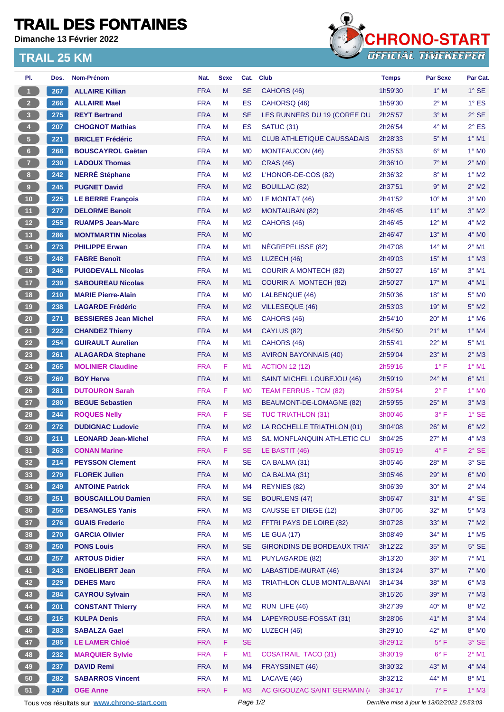## **TRAIL DES FONTAINES**

**Dimanche 13 Février 2022**

## **TRAIL 25 KM**



| PI.                                                         | Dos. | Nom-Prénom                                  | Nat.       | <b>Sexe</b> |                | Cat. Club                          | <b>Temps</b>                                | <b>Par Sexe</b>             | Par Cat.                 |
|-------------------------------------------------------------|------|---------------------------------------------|------------|-------------|----------------|------------------------------------|---------------------------------------------|-----------------------------|--------------------------|
| $\blacksquare$                                              | 267  | <b>ALLAIRE Killian</b>                      | <b>FRA</b> | M           | <b>SE</b>      | CAHORS (46)                        | 1h59'30                                     | $1^\circ$ M                 | $1^\circ$ SE             |
| $\overline{2}$                                              | 266  | <b>ALLAIRE Mael</b>                         | <b>FRA</b> | M           | ES             | CAHORSQ (46)                       | 1h59'30                                     | $2^{\circ}$ M               | $1^\circ$ ES             |
| 3 <sup>°</sup>                                              | 275  | <b>REYT Bertrand</b>                        | <b>FRA</b> | M           | <b>SE</b>      | LES RUNNERS DU 19 (COREE DU        | 2h25'57                                     | $3^\circ$ M                 | $2°$ SE                  |
| $\overline{4}$                                              | 207  | <b>CHOGNOT Mathias</b>                      | <b>FRA</b> | М           | <b>ES</b>      | <b>SATUC (31)</b>                  | 2h26'54                                     | $4^\circ$ M                 | $2^{\circ}$ ES           |
| $-5$                                                        | 221  | <b>BRICLET Frédéric</b>                     | <b>FRA</b> | M           | M <sub>1</sub> | <b>CLUB ATHLETIQUE CAUSSADAIS</b>  | 2h28'33                                     | $5^\circ$ M                 | $1^\circ$ M1             |
| 6 <sup>1</sup>                                              | 268  | <b>BOUSCAYROL Gaëtan</b>                    | <b>FRA</b> | M           | M <sub>0</sub> | MONTFAUCON (46)                    | 2h35'53                                     | $6^\circ$ M<br>$1^\circ$ MO |                          |
| $\overline{7}$                                              | 230  | <b>LADOUX Thomas</b>                        | <b>FRA</b> | M           | M <sub>0</sub> | <b>CRAS (46)</b>                   | $2^{\circ}$ MO<br>2h36'10<br>$7^\circ$ M    |                             |                          |
| 8 <sup>1</sup>                                              | 242  | <b>NERRÉ Stéphane</b>                       | <b>FRA</b> | М           | M <sub>2</sub> | L'HONOR-DE-COS (82)                | 2h36'32<br>$8^\circ$ M                      |                             | $1^\circ$ M2             |
| 9 <sup>°</sup>                                              | 245  | <b>PUGNET David</b>                         | <b>FRA</b> | M           | M <sub>2</sub> | 2h37'51<br><b>BOUILLAC (82)</b>    |                                             | 9° M                        | $2^{\circ}$ M2           |
| 10                                                          | 225  | <b>LE BERRE François</b>                    | <b>FRA</b> | М           | M <sub>0</sub> | LE MONTAT (46)                     | 2h41'52                                     | $10^{\circ}$ M              | $3°$ MO                  |
| (11)                                                        | 277  | <b>DELORME Benoit</b>                       | <b>FRA</b> | M           | M2             | <b>MONTAUBAN (82)</b>              | 2h46'45                                     | $11^{\circ}$ M              | $3^\circ$ M2             |
| $\overline{12}$                                             | 255  | <b>RUAMPS Jean-Marc</b>                     | <b>FRA</b> | М           | M2             | CAHORS (46)                        | 2h46'45                                     | $12^{\circ}$ M              | $4^\circ$ M2             |
| (13)                                                        | 286  | <b>MONTMARTIN Nicolas</b>                   | <b>FRA</b> | M           | M <sub>0</sub> |                                    | 2h46'47                                     | $13^{\circ}$ M              | $4^\circ$ MO             |
| 14                                                          | 273  | <b>PHILIPPE Erwan</b>                       | <b>FRA</b> | M           | M1             | NEGREPELISSE (82)                  | 2h47'08                                     | $14^{\circ}$ M              | $2^{\circ}$ M1           |
| 15                                                          | 248  | <b>FABRE Benoît</b>                         | <b>FRA</b> | M           | M <sub>3</sub> | LUZECH (46)                        | 2h49'03                                     | $15^{\circ}$ M              | $1^\circ$ M3             |
| 16                                                          | 246  | <b>PUIGDEVALL Nicolas</b>                   | <b>FRA</b> | М           | M <sub>1</sub> | <b>COURIR A MONTECH (82)</b>       | $16^{\circ}$ M<br>2h50'27                   |                             | $3°$ M1                  |
| (17)                                                        | 239  | <b>SABOUREAU Nicolas</b>                    | <b>FRA</b> | M           | M <sub>1</sub> | <b>COURIR A MONTECH (82)</b>       | $4^\circ$ M1<br>$17^\circ$ M<br>2h50'27     |                             |                          |
| 18                                                          | 210  | <b>MARIE Pierre-Alain</b>                   | <b>FRA</b> | М           | M <sub>0</sub> | LALBENQUE (46)                     | 2h50'36                                     | $18^{\circ}$ M              | $5^\circ$ MO             |
| (19)                                                        | 238  | <b>LAGARDE Frédéric</b>                     | <b>FRA</b> | M           | M <sub>2</sub> | <b>VILLESEQUE (46)</b>             | 2h53'03                                     | $19°$ M                     | $5^\circ$ M2             |
| 20                                                          | 271  | <b>BESSIERES Jean Michel</b>                | <b>FRA</b> | М           | M <sub>6</sub> | CAHORS (46)                        | $1^\circ$ M6<br>2h54'10<br>$20^{\circ}$ M   |                             |                          |
| 21                                                          | 222  | <b>CHANDEZ Thierry</b>                      | <b>FRA</b> | M           | M4             | CAYLUS (82)                        | $1^\circ$ M4<br>2h54'50<br>$21°$ M          |                             |                          |
| 22                                                          | 254  | <b>GUIRAULT Aurelien</b>                    | <b>FRA</b> | М           | M1             | CAHORS (46)                        | 2h55'41                                     | $22^{\circ}$ M              | $5^{\circ}$ M1           |
| 23                                                          | 261  | <b>ALAGARDA Stephane</b>                    | <b>FRA</b> | M           | M <sub>3</sub> | <b>AVIRON BAYONNAIS (40)</b>       | $2^{\circ}$ M3<br>2h59'04<br>$23^\circ$ M   |                             |                          |
| 24                                                          | 265  | <b>MOLINIER Claudine</b>                    | <b>FRA</b> | F           | M <sub>1</sub> | <b>ACTION 12 (12)</b>              | 2h59'16                                     | $1^{\circ}$ F               | $1°$ M1                  |
| 25                                                          | 269  | <b>BOY Herve</b>                            | <b>FRA</b> | M           | M <sub>1</sub> | SAINT MICHEL LOUBEJOU (46)         | 2h59'19                                     | 24° M                       | $6^{\circ}$ M1           |
| 26                                                          | 281  | <b>DUTOURON Sarah</b>                       | <b>FRA</b> | F.          | <b>MO</b>      | <b>TEAM FERRUS - TCM (82)</b>      | 2h59'54                                     | $2^{\circ}$ F               | $1^\circ$ MO             |
| 27                                                          | 280  | <b>BEGUE Sebastien</b>                      | <b>FRA</b> | M           | M <sub>3</sub> | BEAUMONT-DE-LOMAGNE (82)           | 2h59'55                                     | 25° M                       | $3^\circ$ M3             |
| 28                                                          | 244  | <b>ROQUES Nelly</b>                         | <b>FRA</b> | F.          | <b>SE</b>      | <b>TUC TRIATHLON (31)</b>          | 3h00'46                                     | $3^{\circ}$ F               | $1^\circ$ SE             |
| 29                                                          | 272  | <b>DUDIGNAC Ludovic</b>                     | <b>FRA</b> | M           | M <sub>2</sub> | LA ROCHELLE TRIATHLON (01)         | 3h04'08                                     | 26° M                       | $6^\circ$ M2             |
| 30 <sub>o</sub>                                             | 211  | <b>LEONARD Jean-Michel</b>                  | <b>FRA</b> | M           | M <sub>3</sub> | S/L MONFLANQUIN ATHLETIC CLI       | 3h04'25                                     | $27^\circ$ M                | $4^\circ$ M3             |
| 31                                                          | 263  | <b>CONAN Marine</b>                         | <b>FRA</b> | F           | <b>SE</b>      | LE BASTIT (46)                     | $4^{\circ}$ F<br>3h05'19                    |                             | $2°$ SE                  |
| 32 <sub>2</sub>                                             | 214  | <b>PEYSSON Clement</b>                      | <b>FRA</b> | M           | SE.            | CA BALMA (31)                      | 3h05'46<br>28° M                            |                             | $3°$ SE                  |
| 33                                                          | 279  | <b>FLOREK Julien</b>                        | <b>FRA</b> | M           | M <sub>0</sub> | CA BALMA (31)                      | $6^{\circ}$ MO<br>3h05'46<br>29° M          |                             |                          |
| 34                                                          | 249  | <b>ANTOINE Patrick</b>                      | <b>FRA</b> | M           | M4             | REYNIES (82)                       | 3h06'39                                     | $30^\circ$ M                | $2^{\circ}$ M4           |
| $\begin{array}{c} \begin{array}{c} \end{array} \end{array}$ | 251  | <b>BOUSCAILLOU Damien</b>                   | <b>FRA</b> | M           | <b>SE</b>      | <b>BOURLENS (47)</b>               | 3h06'47                                     | $31^\circ$ M                | $4^\circ$ SE             |
| 36                                                          | 256  | <b>DESANGLES Yanis</b>                      | <b>FRA</b> | M           | M3             | CAUSSE ET DIEGE (12)               | 3h07'06                                     | $32^{\circ}$ M              | $5^\circ$ M3             |
| $\begin{array}{c} \begin{array}{c} \end{array} \end{array}$ | 276  | <b>GUAIS Frederic</b>                       | <b>FRA</b> | M           | M2             | FFTRI PAYS DE LOIRE (82)           | 3h07'28                                     | $33^\circ$ M                | $7^\circ$ M2             |
| 38                                                          | 270  | <b>GARCIA Olivier</b>                       | <b>FRA</b> | M           | M <sub>5</sub> | <b>LE GUA (17)</b>                 | 3h08'49                                     | $34^\circ$ M                | $1^\circ$ M <sub>5</sub> |
| 39 <sup>°</sup>                                             | 250  | <b>PONS Louis</b>                           | <b>FRA</b> | M           | <b>SE</b>      | <b>GIRONDINS DE BORDEAUX TRIAT</b> | 3h12'22                                     | $35^\circ$ M                | $5^\circ$ SE             |
| 40                                                          | 257  | <b>ARTOUS Didier</b>                        | <b>FRA</b> | M           | M1             | <b>PUYLAGARDE (82)</b>             | 3h13'20                                     | 36° M                       | $7^\circ$ M1             |
| (41)                                                        | 243  | <b>ENGELIBERT Jean</b>                      | <b>FRA</b> | M           | M <sub>0</sub> | LABASTIDE-MURAT (46)               | 3h13'24<br>37° M                            |                             | $7^\circ$ MO             |
| 42                                                          | 229  | <b>DEHES Marc</b>                           | <b>FRA</b> | M           | M <sub>3</sub> | <b>TRIATHLON CLUB MONTALBANAI</b>  | 3h14'34                                     | 38° M                       | $6^\circ$ M3             |
| 43                                                          | 284  | <b>CAYROU Sylvain</b>                       | <b>FRA</b> | M           | M3             | 3h15'26                            |                                             | 39° M                       | $7^\circ$ M3             |
| 44                                                          | 201  | <b>CONSTANT Thierry</b>                     | <b>FRA</b> | M           | M <sub>2</sub> | RUN LIFE (46)                      | 3h27'39                                     | $40^\circ$ M                | $8^\circ$ M2             |
| 45                                                          | 215  | <b>KULPA Denis</b>                          | <b>FRA</b> | M           | M4             | LAPEYROUSE-FOSSAT (31)             | 3h28'06                                     | $41^{\circ}$ M              | $3^\circ$ M4             |
| 46                                                          | 283  | <b>SABALZA Gael</b>                         | <b>FRA</b> | M           | M <sub>0</sub> | LUZECH (46)                        | 3h29'10                                     | 42° M                       | 8° MO                    |
| 47                                                          | 285  | <b>LE LAMER Chloé</b>                       | <b>FRA</b> | F.          | <b>SE</b>      |                                    | 3h29'12                                     | $5^{\circ}$ F               | $3°$ SE                  |
| 48                                                          | 232  | <b>MARQUIER Sylvie</b>                      | <b>FRA</b> | F           | M1             | <b>COSATRAIL TACO (31)</b>         | 3h30'19                                     | $6^{\circ}$ F               | $2^{\circ}$ M1           |
| 49                                                          | 237  | <b>DAVID Remi</b>                           | <b>FRA</b> | M           | M4             | FRAYSSINET (46)                    | 3h30'32                                     | 43° M                       | $4^\circ$ M4             |
| 50                                                          | 282  | <b>SABARROS Vincent</b>                     | <b>FRA</b> | M           | M1             | LACAVE (46)                        | 3h32'12                                     | 44° M                       | 8° M1                    |
| 51                                                          | 247  | <b>OGE Anne</b>                             | <b>FRA</b> | F.          | M <sub>3</sub> | AC GIGOUZAC SAINT GERMAIN (4)      | 3h34'17                                     | $7^\circ$ F                 | $1^\circ$ M3             |
|                                                             |      | Tous vos résultats sur www.chrono-start.com |            |             | Page 1/2       |                                    | Dernière mise à jour le 13/02/2022 15:53:03 |                             |                          |